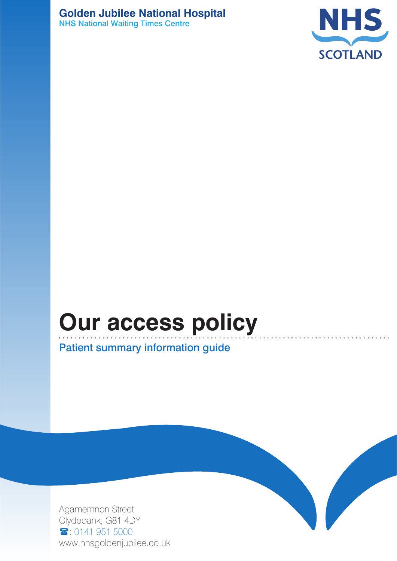

# **Our access policy**

Patient summary information guide

Agamemnon Street Clydebank, G81 4DY 1: 0141 951 5000 www.nhsgoldenjubilee.co.uk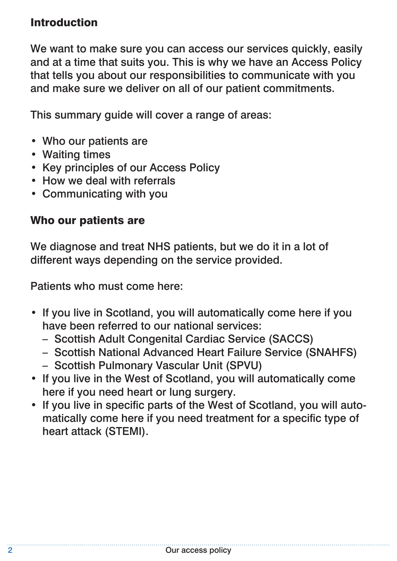#### Introduction

We want to make sure you can access our services quickly, easily and at a time that suits you. This is why we have an Access Policy that tells you about our responsibilities to communicate with you and make sure we deliver on all of our patient commitments.

This summary guide will cover a range of areas:

- • Who our patients are
- Waiting times
- • Key principles of our Access Policy
- How we deal with referrals
- Communicating with you

#### Who our patients are

We diagnose and treat NHS patients, but we do it in a lot of different ways depending on the service provided.

Patients who must come here:

- If you live in Scotland, you will automatically come here if you have been referred to our national services:
	- Scottish Adult Congenital Cardiac Service (SACCS)
	- Scottish National Advanced Heart Failure Service (SNAHFS)
	- Scottish Pulmonary Vascular Unit (SPVU)
- If you live in the West of Scotland, you will automatically come here if you need heart or lung surgery.
- If you live in specific parts of the West of Scotland, you will automatically come here if you need treatment for a specific type of heart attack (STEMI).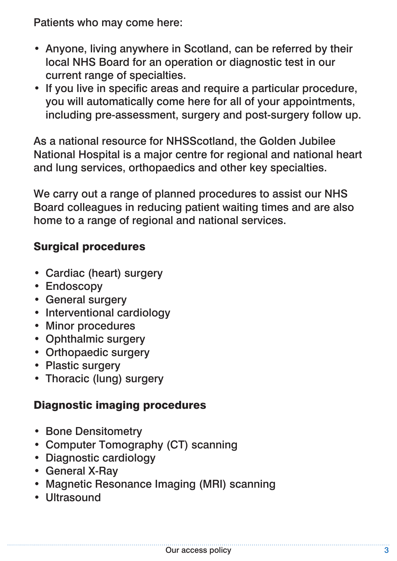Patients who may come here:

- • Anyone, living anywhere in Scotland, can be referred by their local NHS Board for an operation or diagnostic test in our current range of specialties.
- If you live in specific areas and require a particular procedure, you will automatically come here for all of your appointments, including pre-assessment, surgery and post-surgery follow up.

As a national resource for NHSScotland, the Golden Jubilee National Hospital is a major centre for regional and national heart and lung services, orthopaedics and other key specialties.

We carry out a range of planned procedures to assist our NHS Board colleagues in reducing patient waiting times and are also home to a range of regional and national services.

#### Surgical procedures

- • Cardiac (heart) surgery
- Endoscopy
- General surgery
- Interventional cardiology
- Minor procedures
- Ophthalmic surgery
- Orthopaedic surgery
- Plastic surgery
- Thoracic (lung) surgery

#### Diagnostic imaging procedures

- • Bone Densitometry
- • Computer Tomography (CT) scanning
- • Diagnostic cardiology
- General X-Ray
- • Magnetic Resonance Imaging (MRI) scanning
- • Ultrasound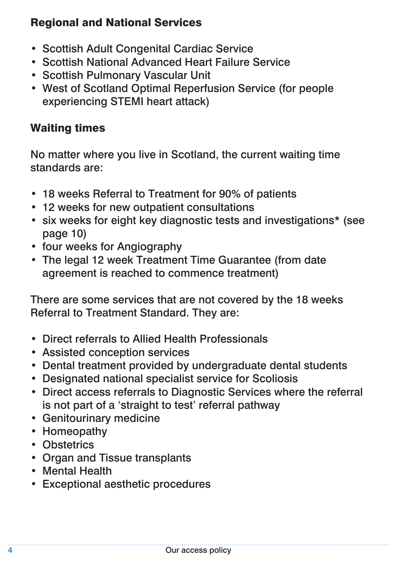#### Regional and National Services

- • Scottish Adult Congenital Cardiac Service
- • Scottish National Advanced Heart Failure Service
- • Scottish Pulmonary Vascular Unit
- • West of Scotland Optimal Reperfusion Service (for people experiencing STEMI heart attack)

#### Waiting times

No matter where you live in Scotland, the current waiting time standards are:

- 18 weeks Referral to Treatment for 90% of patients
- 12 weeks for new outpatient consultations
- six weeks for eight key diagnostic tests and investigations\* (see page 10)
- four weeks for Angiography
- The legal 12 week Treatment Time Guarantee (from date agreement is reached to commence treatment)

There are some services that are not covered by the 18 weeks Referral to Treatment Standard. They are:

- Direct referrals to Allied Health Professionals
- Assisted conception services
- • Dental treatment provided by undergraduate dental students
- • Designated national specialist service for Scoliosis
- • Direct access referrals to Diagnostic Services where the referral is not part of a 'straight to test' referral pathway
- • Genitourinary medicine
- Homeopathy
- Obstetrics
- • Organ and Tissue transplants
- Mental Health
- • Exceptional aesthetic procedures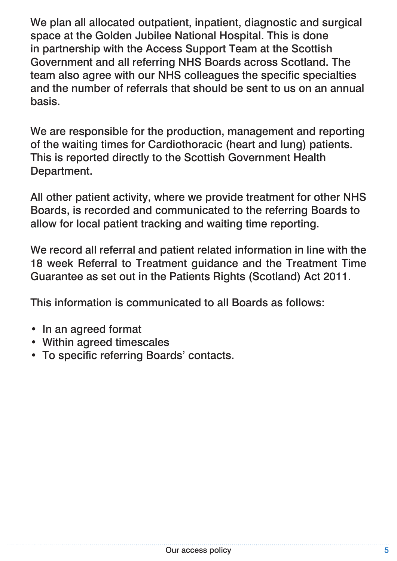We plan all allocated outpatient, inpatient, diagnostic and surgical space at the Golden Jubilee National Hospital. This is done in partnership with the Access Support Team at the Scottish Government and all referring NHS Boards across Scotland. The team also agree with our NHS colleagues the specific specialties and the number of referrals that should be sent to us on an annual basis.

We are responsible for the production, management and reporting of the waiting times for Cardiothoracic (heart and lung) patients. This is reported directly to the Scottish Government Health Department.

All other patient activity, where we provide treatment for other NHS Boards, is recorded and communicated to the referring Boards to allow for local patient tracking and waiting time reporting.

We record all referral and patient related information in line with the 18 week Referral to Treatment guidance and the Treatment Time Guarantee as set out in the Patients Rights (Scotland) Act 2011.

This information is communicated to all Boards as follows:

- In an agreed format
- Within agreed timescales
- • To specific referring Boards' contacts.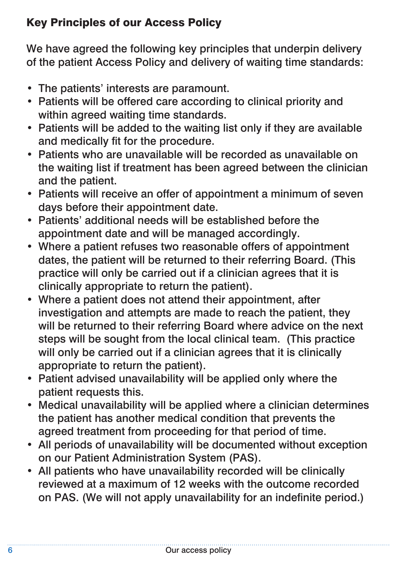### Key Principles of our Access Policy

We have agreed the following key principles that underpin delivery of the patient Access Policy and delivery of waiting time standards:

- The patients' interests are paramount.
- • Patients will be offered care according to clinical priority and within agreed waiting time standards.
- • Patients will be added to the waiting list only if they are available and medically fit for the procedure.
- • Patients who are unavailable will be recorded as unavailable on the waiting list if treatment has been agreed between the clinician and the patient.
- Patients will receive an offer of appointment a minimum of seven days before their appointment date.
- • Patients' additional needs will be established before the appointment date and will be managed accordingly.
- • Where a patient refuses two reasonable offers of appointment dates, the patient will be returned to their referring Board. (This practice will only be carried out if a clinician agrees that it is clinically appropriate to return the patient).
- Where a patient does not attend their appointment, after investigation and attempts are made to reach the patient, they will be returned to their referring Board where advice on the next steps will be sought from the local clinical team. (This practice will only be carried out if a clinician agrees that it is clinically appropriate to return the patient).
- • Patient advised unavailability will be applied only where the patient requests this.
- Medical unavailability will be applied where a clinician determines the patient has another medical condition that prevents the agreed treatment from proceeding for that period of time.
- • All periods of unavailability will be documented without exception on our Patient Administration System (PAS).
- All patients who have unavailability recorded will be clinically reviewed at a maximum of 12 weeks with the outcome recorded on PAS. (We will not apply unavailability for an indefinite period.)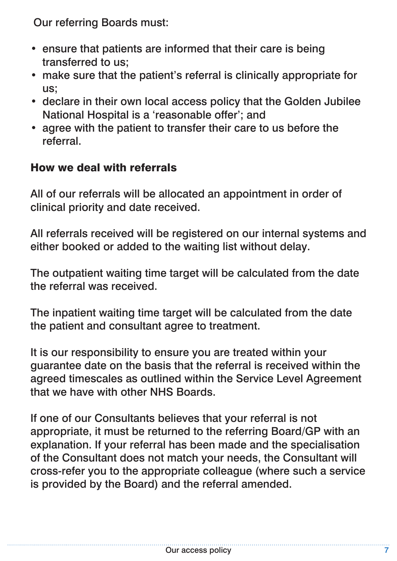Our referring Boards must:

- ensure that patients are informed that their care is being transferred to us;
- make sure that the patient's referral is clinically appropriate for us;
- declare in their own local access policy that the Golden Jubilee National Hospital is a 'reasonable offer'; and
- agree with the patient to transfer their care to us before the referral.

#### How we deal with referrals

All of our referrals will be allocated an appointment in order of clinical priority and date received.

All referrals received will be registered on our internal systems and either booked or added to the waiting list without delay.

The outpatient waiting time target will be calculated from the date the referral was received.

The inpatient waiting time target will be calculated from the date the patient and consultant agree to treatment.

It is our responsibility to ensure you are treated within your guarantee date on the basis that the referral is received within the agreed timescales as outlined within the Service Level Agreement that we have with other NHS Boards.

If one of our Consultants believes that your referral is not appropriate, it must be returned to the referring Board/GP with an explanation. If your referral has been made and the specialisation of the Consultant does not match your needs, the Consultant will cross-refer you to the appropriate colleague (where such a service is provided by the Board) and the referral amended.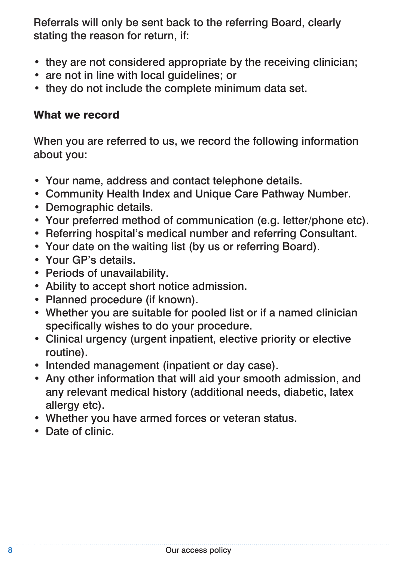Referrals will only be sent back to the referring Board, clearly stating the reason for return, if:

- they are not considered appropriate by the receiving clinician;
- are not in line with local guidelines; or
- they do not include the complete minimum data set.

#### What we record

When you are referred to us, we record the following information about you:

- • Your name, address and contact telephone details.
- • Community Health Index and Unique Care Pathway Number.
- Demographic details.
- • Your preferred method of communication (e.g. letter/phone etc).
- • Referring hospital's medical number and referring Consultant.
- Your date on the waiting list (by us or referring Board).
- • Your GP's details.
- • Periods of unavailability.
- • Ability to accept short notice admission.
- Planned procedure (if known).
- Whether you are suitable for pooled list or if a named clinician specifically wishes to do your procedure.
- Clinical urgency (urgent inpatient, elective priority or elective routine).
- Intended management (inpatient or day case).
- Any other information that will aid your smooth admission, and any relevant medical history (additional needs, diabetic, latex allergy etc).
- Whether you have armed forces or veteran status.
- Date of clinic.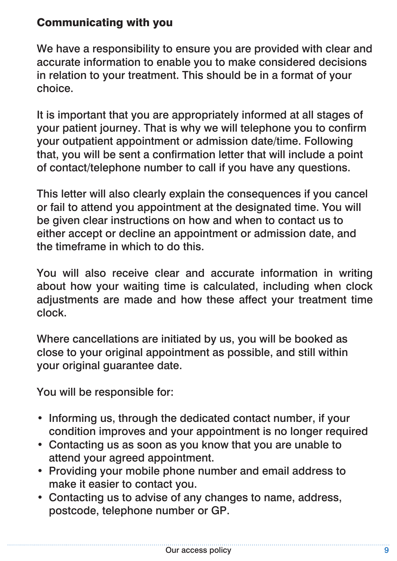#### Communicating with you

We have a responsibility to ensure you are provided with clear and accurate information to enable you to make considered decisions in relation to your treatment. This should be in a format of your choice.

It is important that you are appropriately informed at all stages of your patient journey. That is why we will telephone you to confirm your outpatient appointment or admission date/time. Following that, you will be sent a confirmation letter that will include a point of contact/telephone number to call if you have any questions.

This letter will also clearly explain the consequences if you cancel or fail to attend you appointment at the designated time. You will be given clear instructions on how and when to contact us to either accept or decline an appointment or admission date, and the timeframe in which to do this.

You will also receive clear and accurate information in writing about how your waiting time is calculated, including when clock adjustments are made and how these affect your treatment time clock.

Where cancellations are initiated by us, you will be booked as close to your original appointment as possible, and still within your original guarantee date.

You will be responsible for:

- Informing us, through the dedicated contact number, if your condition improves and your appointment is no longer required
- • Contacting us as soon as you know that you are unable to attend your agreed appointment.
- • Providing your mobile phone number and email address to make it easier to contact you.
- • Contacting us to advise of any changes to name, address, postcode, telephone number or GP.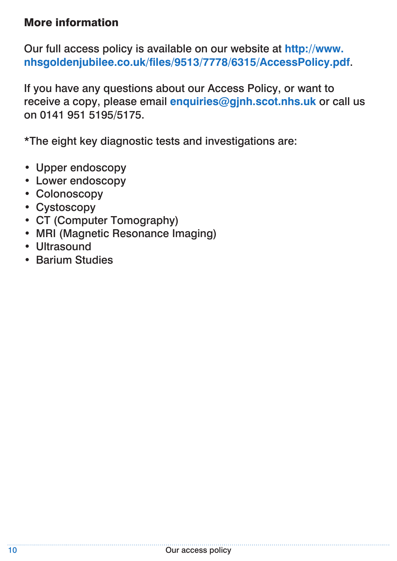#### More information

Our full access policy is available on our website at **http://www. nhsgoldenjubilee.co.uk/files/9513/7778/6315/AccessPolicy.pdf**.

If you have any questions about our Access Policy, or want to receive a copy, please email **enquiries@gjnh.scot.nhs.uk** or call us on 0141 951 5195/5175.

\*The eight key diagnostic tests and investigations are:

- Upper endoscopy
- Lower endoscopy
- Colonoscopy
- Cystoscopy
- • CT (Computer Tomography)
- • MRI (Magnetic Resonance Imaging)
- • Ultrasound
- • Barium Studies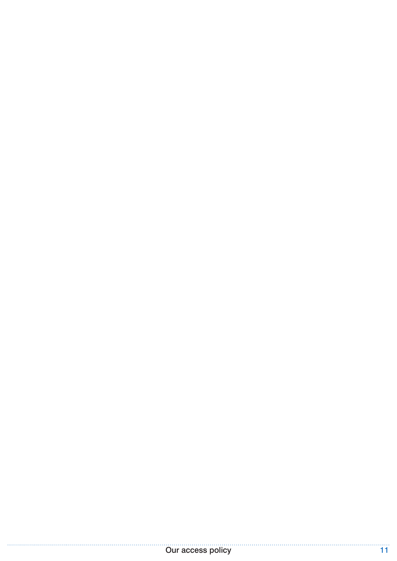#### Our access policy **11**